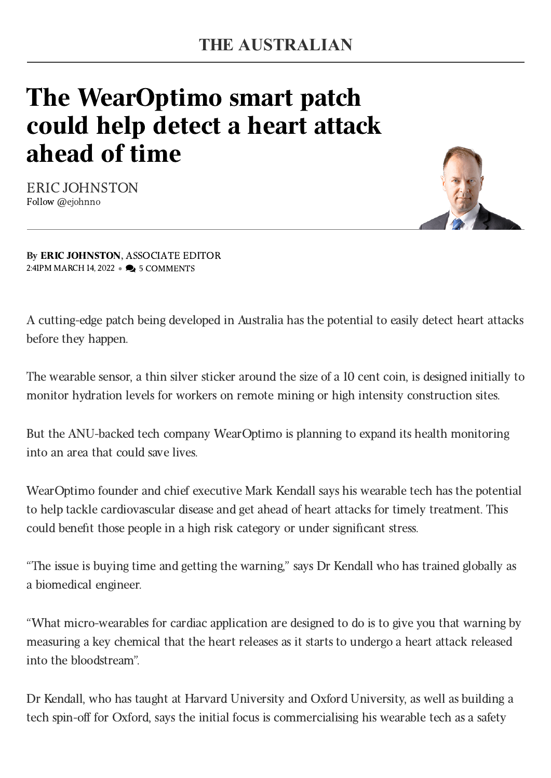## The WearOptimo smart patch could help detect a heart attack ahead of time

ERIC [JOHNSTON](https://www.theaustralian.com.au/author/Eric+Johnston) Follow [@ejohnno](https://twitter.com/ejohnno)



By ERIC [JOHNSTON](https://www.theaustralian.com.au/author/Eric+Johnston), ASSOCIATE EDITOR 2:41PM MARCH 14, 2022 • 9 5 COMMENTS

A cutting-edge patch being developed in Australia has the potential to easily detect heart attacks before they happen.

The wearable sensor, a thin silver sticker around the size of a 10 cent coin, is designed initially to monitor hydration levels for workers on remote mining or high intensity construction sites.

But the ANU-backed tech company WearOptimo is planning to expand its health monitoring into an area that could save lives.

WearOptimo founder and chief executive Mark Kendall says his wearable tech has the potential to help tackle cardiovascular disease and get ahead of heart attacks for timely treatment. This could benefit those people in a high risk category or under significant stress.

"The issue is buying time and getting the warning," says Dr Kendall who has trained globally as a biomedical engineer.

"What micro-wearables for cardiac application are designed to do is to give you that warning by measuring a key chemical that the heart releases as it starts to undergo a heart attack released into the bloodstream".

Dr Kendall, who has taught at Harvard University and Oxford University, as well as building a tech spin-off for Oxford, says the initial focus is commercialising his wearable tech as a safety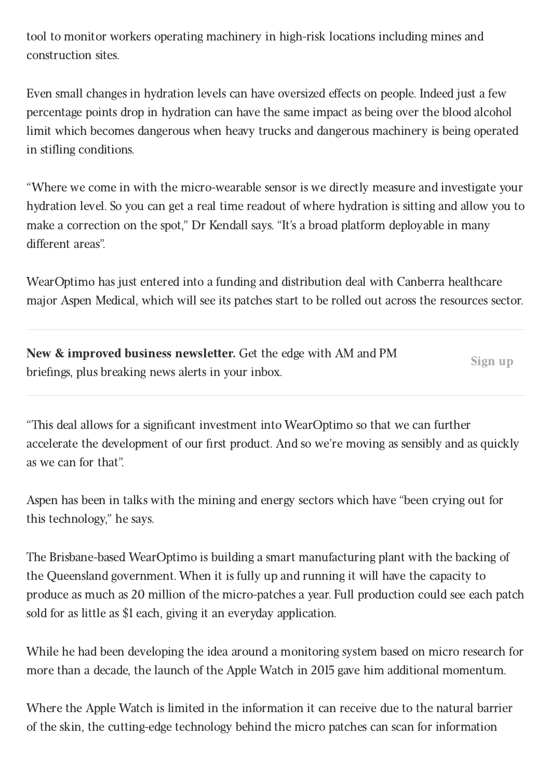tool to monitor workers operating machinery in high-risk locations including mines and construction sites.

Even small changes in hydration levels can have oversized effects on people. Indeed just a few percentage points drop in hydration can have the same impact as being over the blood alcohol limit which becomes dangerous when heavy trucks and dangerous machinery is being operated in stifling conditions.

"Where we come in with the micro-wearable sensor is we directly measure and investigate your hydration level. So you can get a real time readout of where hydration is sitting and allow you to make a correction on the spot," Dr Kendall says. "It's a broad platform deployable in many different areas".

WearOptimo has just entered into a funding and distribution deal with Canberra healthcare major Aspen Medical, which will see its patches start to be rolled out across the resources sector.

New & improved business newsletter. Get the edge with AM and PM briefings, plus breaking news alerts in your inbox.

Sign up

"This deal allows for a significant investment into WearOptimo so that we can further accelerate the development of our first product. And so we're moving as sensibly and as quickly as we can for that".

Aspen has been in talks with the mining and energy sectors which have "been crying out for this technology," he says.

The Brisbane-based WearOptimo is building a smart manufacturing plant with the backing of the Queensland government. When it is fully up and running it will have the capacity to produce as much as 20 million of the micro-patches a year. Full production could see each patch sold for as little as \$1 each, giving it an everyday application.

While he had been developing the idea around a monitoring system based on micro research for more than a decade, the launch of the Apple Watch in 2015 gave him additional momentum.

Where the Apple Watch is limited in the information it can receive due to the natural barrier of the skin, the cutting-edge technology behind the micro patches can scan for information